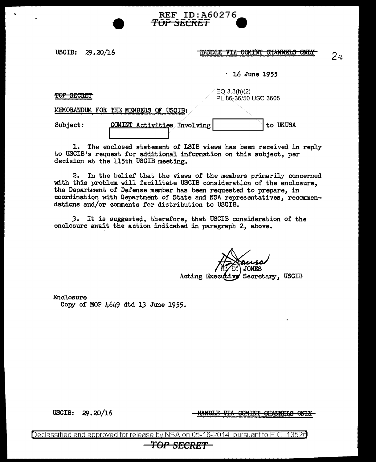**HANDLE VIA COMINT CHANNELS ONLY** 

· 16 June 1955

TOP SECRET

EO 3.3(h)(2) PL 86.-36/50 USC 3605

MHMORANDUM FOR THE MEMBERS OF USCIB:

| <b>Subject:</b> | COMINT Activities Involving |  | to UKUSA |
|-----------------|-----------------------------|--|----------|
|                 |                             |  |          |

1. The enclosed statement of LSIB views has been received in reply to USCIB1s request for additional information on this subject, per decision at the 115th USCIB meeting.

REF ID:A60276

**TOP SECRET 9** 

2. In the belief that the views of the members primarily concerned with this problem will facilitate USCIB consideration of the enclosure, the Department of Defense member has been requested to prepare, in coordination with Department of State and NSA representatives, recommendations and/or comments for distribution to USCIB.

*3.* It is suggested, therefore, that USCIB consideration of the enclosure await the action indicated in paragraph 2, above.

ve Secretary, USCIB Acting Executi

Enclosure Copy of MOP 4649 dtd 13 June 1955.

USCIB: 29.20/16

<u>HANDLE VIA</u> COMINT CHANNELS ONLY

Declassified and approved for release by NSA on 05-16-2014 pursuant to E.O. 13526

*TOP SECRET* 

24

USCIB: 29.20/16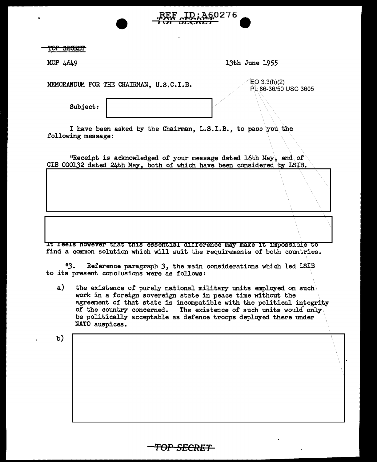TOP SECRET

MOP 4649 13th June 1955

60276.

MEMORANDUM FOR THE CHAIRMAN, U.S.C.I.B.  $\angle$  EO 3.3(h)(2)

PL.86-36/50 USC 3605

 $\wedge\!\!\!\!\downarrow\!\!\!\perp$ 

Subject:

I have been asked by the Chairman, L.S.I.B., to pass you the following message:

"Receipt is acknowledged of your message dated 16th May, and of CIB 000132 dated 24th May, both of which have been considered by LSIB.

lt feels however that this essential dJ.f f erence may make it llllpossible to find a common solution which will suit the requirements of both countries.

<sup>11</sup>3. Reference paragraph *3,* the main considerations which led LSIB to its present conclusions were as follows:

a) the existence of purely national military units employed on such work in a foreign sovereign state in peace time without the agreement of that state is incompatible with the political integrity of the country concerned. The existence of such units would only be politically acceptable as defence troops deployed there under NATO auspices.

*TOP SECRET* 

b)